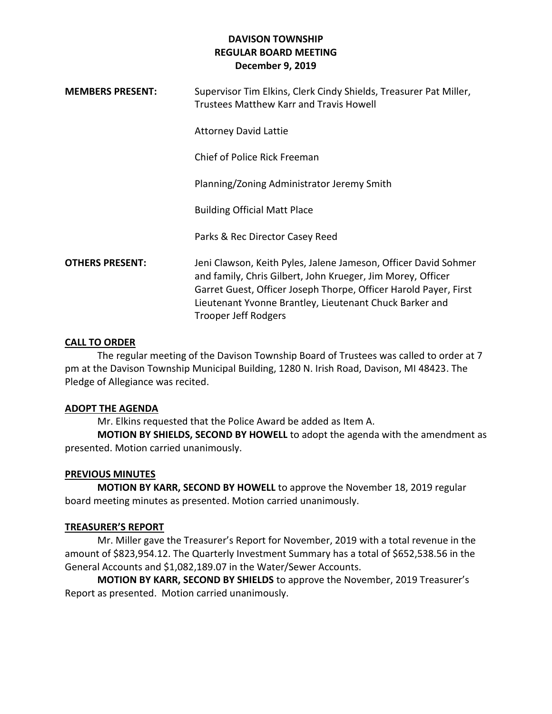| <b>MEMBERS PRESENT:</b> | Supervisor Tim Elkins, Clerk Cindy Shields, Treasurer Pat Miller,<br><b>Trustees Matthew Karr and Travis Howell</b>                                                                                                                                                                   |
|-------------------------|---------------------------------------------------------------------------------------------------------------------------------------------------------------------------------------------------------------------------------------------------------------------------------------|
|                         | <b>Attorney David Lattie</b>                                                                                                                                                                                                                                                          |
|                         | Chief of Police Rick Freeman                                                                                                                                                                                                                                                          |
|                         | Planning/Zoning Administrator Jeremy Smith                                                                                                                                                                                                                                            |
|                         | <b>Building Official Matt Place</b>                                                                                                                                                                                                                                                   |
|                         | Parks & Rec Director Casey Reed                                                                                                                                                                                                                                                       |
| <b>OTHERS PRESENT:</b>  | Jeni Clawson, Keith Pyles, Jalene Jameson, Officer David Sohmer<br>and family, Chris Gilbert, John Krueger, Jim Morey, Officer<br>Garret Guest, Officer Joseph Thorpe, Officer Harold Payer, First<br>Lieutenant Yvonne Brantley, Lieutenant Chuck Barker and<br>Trooper Jeff Rodgers |

## **CALL TO ORDER**

The regular meeting of the Davison Township Board of Trustees was called to order at 7 pm at the Davison Township Municipal Building, 1280 N. Irish Road, Davison, MI 48423. The Pledge of Allegiance was recited.

### **ADOPT THE AGENDA**

Mr. Elkins requested that the Police Award be added as Item A.

**MOTION BY SHIELDS, SECOND BY HOWELL** to adopt the agenda with the amendment as presented. Motion carried unanimously.

### **PREVIOUS MINUTES**

**MOTION BY KARR, SECOND BY HOWELL** to approve the November 18, 2019 regular board meeting minutes as presented. Motion carried unanimously.

### **TREASURER'S REPORT**

Mr. Miller gave the Treasurer's Report for November, 2019 with a total revenue in the amount of \$823,954.12. The Quarterly Investment Summary has a total of \$652,538.56 in the General Accounts and \$1,082,189.07 in the Water/Sewer Accounts.

**MOTION BY KARR, SECOND BY SHIELDS** to approve the November, 2019 Treasurer's Report as presented. Motion carried unanimously.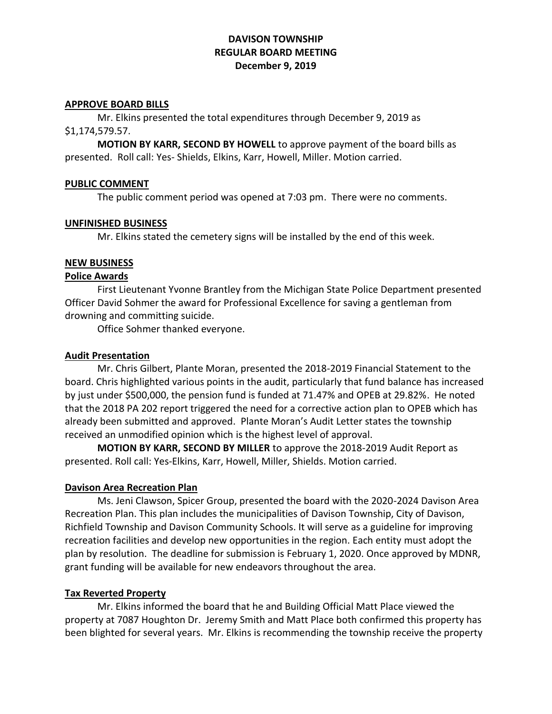#### **APPROVE BOARD BILLS**

Mr. Elkins presented the total expenditures through December 9, 2019 as \$1,174,579.57.

**MOTION BY KARR, SECOND BY HOWELL** to approve payment of the board bills as presented. Roll call: Yes- Shields, Elkins, Karr, Howell, Miller. Motion carried.

#### **PUBLIC COMMENT**

The public comment period was opened at 7:03 pm. There were no comments.

#### **UNFINISHED BUSINESS**

Mr. Elkins stated the cemetery signs will be installed by the end of this week.

#### **NEW BUSINESS**

### **Police Awards**

First Lieutenant Yvonne Brantley from the Michigan State Police Department presented Officer David Sohmer the award for Professional Excellence for saving a gentleman from drowning and committing suicide.

Office Sohmer thanked everyone.

#### **Audit Presentation**

Mr. Chris Gilbert, Plante Moran, presented the 2018-2019 Financial Statement to the board. Chris highlighted various points in the audit, particularly that fund balance has increased by just under \$500,000, the pension fund is funded at 71.47% and OPEB at 29.82%. He noted that the 2018 PA 202 report triggered the need for a corrective action plan to OPEB which has already been submitted and approved. Plante Moran's Audit Letter states the township received an unmodified opinion which is the highest level of approval.

**MOTION BY KARR, SECOND BY MILLER** to approve the 2018-2019 Audit Report as presented. Roll call: Yes-Elkins, Karr, Howell, Miller, Shields. Motion carried.

### **Davison Area Recreation Plan**

Ms. Jeni Clawson, Spicer Group, presented the board with the 2020-2024 Davison Area Recreation Plan. This plan includes the municipalities of Davison Township, City of Davison, Richfield Township and Davison Community Schools. It will serve as a guideline for improving recreation facilities and develop new opportunities in the region. Each entity must adopt the plan by resolution. The deadline for submission is February 1, 2020. Once approved by MDNR, grant funding will be available for new endeavors throughout the area.

### **Tax Reverted Property**

Mr. Elkins informed the board that he and Building Official Matt Place viewed the property at 7087 Houghton Dr. Jeremy Smith and Matt Place both confirmed this property has been blighted for several years. Mr. Elkins is recommending the township receive the property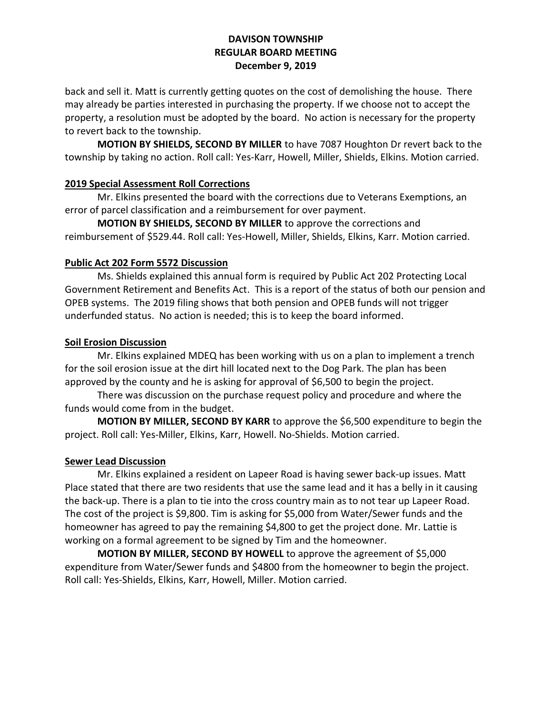back and sell it. Matt is currently getting quotes on the cost of demolishing the house. There may already be parties interested in purchasing the property. If we choose not to accept the property, a resolution must be adopted by the board. No action is necessary for the property to revert back to the township.

**MOTION BY SHIELDS, SECOND BY MILLER** to have 7087 Houghton Dr revert back to the township by taking no action. Roll call: Yes-Karr, Howell, Miller, Shields, Elkins. Motion carried.

## **2019 Special Assessment Roll Corrections**

Mr. Elkins presented the board with the corrections due to Veterans Exemptions, an error of parcel classification and a reimbursement for over payment.

**MOTION BY SHIELDS, SECOND BY MILLER** to approve the corrections and reimbursement of \$529.44. Roll call: Yes-Howell, Miller, Shields, Elkins, Karr. Motion carried.

# **Public Act 202 Form 5572 Discussion**

Ms. Shields explained this annual form is required by Public Act 202 Protecting Local Government Retirement and Benefits Act. This is a report of the status of both our pension and OPEB systems. The 2019 filing shows that both pension and OPEB funds will not trigger underfunded status. No action is needed; this is to keep the board informed.

## **Soil Erosion Discussion**

Mr. Elkins explained MDEQ has been working with us on a plan to implement a trench for the soil erosion issue at the dirt hill located next to the Dog Park. The plan has been approved by the county and he is asking for approval of \$6,500 to begin the project.

There was discussion on the purchase request policy and procedure and where the funds would come from in the budget.

**MOTION BY MILLER, SECOND BY KARR** to approve the \$6,500 expenditure to begin the project. Roll call: Yes-Miller, Elkins, Karr, Howell. No-Shields. Motion carried.

# **Sewer Lead Discussion**

Mr. Elkins explained a resident on Lapeer Road is having sewer back-up issues. Matt Place stated that there are two residents that use the same lead and it has a belly in it causing the back-up. There is a plan to tie into the cross country main as to not tear up Lapeer Road. The cost of the project is \$9,800. Tim is asking for \$5,000 from Water/Sewer funds and the homeowner has agreed to pay the remaining \$4,800 to get the project done. Mr. Lattie is working on a formal agreement to be signed by Tim and the homeowner.

**MOTION BY MILLER, SECOND BY HOWELL** to approve the agreement of \$5,000 expenditure from Water/Sewer funds and \$4800 from the homeowner to begin the project. Roll call: Yes-Shields, Elkins, Karr, Howell, Miller. Motion carried.